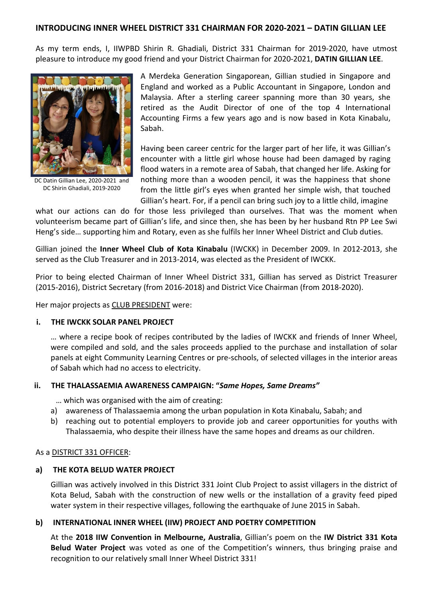# **INTRODUCING INNER WHEEL DISTRICT 331 CHAIRMAN FOR 2020-2021 – DATIN GILLIAN LEE**

As my term ends, I, IIWPBD Shirin R. Ghadiali, District 331 Chairman for 2019-2020, have utmost pleasure to introduce my good friend and your District Chairman for 2020-2021, **DATIN GILLIAN LEE**.



DC Datin Gillian Lee, 2020-2021 and DC Shirin Ghadiali, 2019-2020

A Merdeka Generation Singaporean, Gillian studied in Singapore and England and worked as a Public Accountant in Singapore, London and Malaysia. After a sterling career spanning more than 30 years, she retired as the Audit Director of one of the top 4 International Accounting Firms a few years ago and is now based in Kota Kinabalu, Sabah.

Having been career centric for the larger part of her life, it was Gillian's encounter with a little girl whose house had been damaged by raging flood waters in a remote area of Sabah, that changed her life. Asking for nothing more than a wooden pencil, it was the happiness that shone from the little girl's eyes when granted her simple wish, that touched Gillian's heart. For, if a pencil can bring such joy to a little child, imagine

what our actions can do for those less privileged than ourselves. That was the moment when volunteerism became part of Gillian's life, and since then, she has been by her husband Rtn PP Lee Swi Heng's side… supporting him and Rotary, even as she fulfils her Inner Wheel District and Club duties.

Gillian joined the **Inner Wheel Club of Kota Kinabalu** (IWCKK) in December 2009. In 2012-2013, she served as the Club Treasurer and in 2013-2014, was elected as the President of IWCKK.

Prior to being elected Chairman of Inner Wheel District 331, Gillian has served as District Treasurer (2015-2016), District Secretary (from 2016-2018) and District Vice Chairman (from 2018-2020).

Her major projects as **CLUB PRESIDENT** were:

### **i. THE IWCKK SOLAR PANEL PROJECT**

… where a recipe book of recipes contributed by the ladies of IWCKK and friends of Inner Wheel, were compiled and sold, and the sales proceeds applied to the purchase and installation of solar panels at eight Community Learning Centres or pre-schools, of selected villages in the interior areas of Sabah which had no access to electricity.

### **ii. THE THALASSAEMIA AWARENESS CAMPAIGN: "***Same Hopes, Same Dreams"*

… which was organised with the aim of creating:

- a) awareness of Thalassaemia among the urban population in Kota Kinabalu, Sabah; and
- b) reaching out to potential employers to provide job and career opportunities for youths with Thalassaemia, who despite their illness have the same hopes and dreams as our children.

### As a DISTRICT 331 OFFICER:

### **a) THE KOTA BELUD WATER PROJECT**

Gillian was actively involved in this District 331 Joint Club Project to assist villagers in the district of Kota Belud, Sabah with the construction of new wells or the installation of a gravity feed piped water system in their respective villages, following the earthquake of June 2015 in Sabah.

### **b) INTERNATIONAL INNER WHEEL (IIW) PROJECT AND POETRY COMPETITION**

At the **2018 IIW Convention in Melbourne, Australia**, Gillian's poem on the **IW District 331 Kota Belud Water Project** was voted as one of the Competition's winners, thus bringing praise and recognition to our relatively small Inner Wheel District 331!